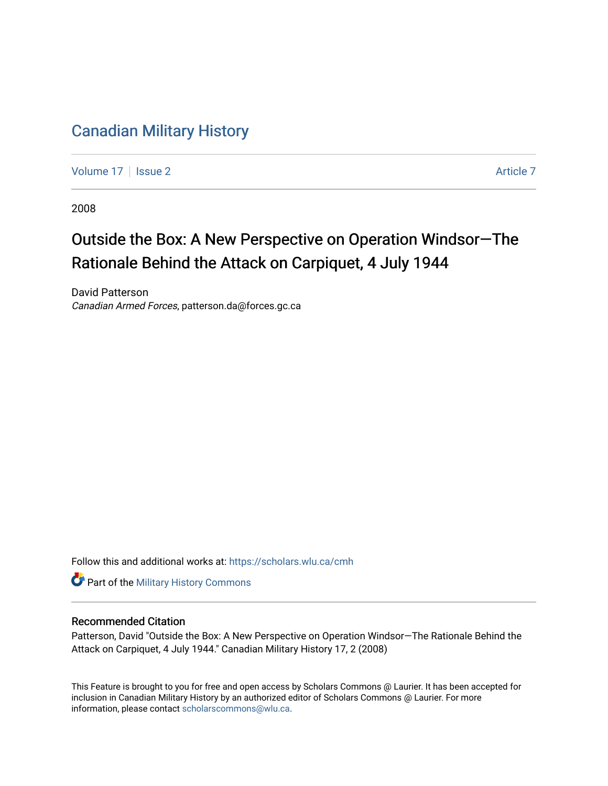## [Canadian Military History](https://scholars.wlu.ca/cmh)

[Volume 17](https://scholars.wlu.ca/cmh/vol17) | [Issue 2](https://scholars.wlu.ca/cmh/vol17/iss2) Article 7

2008

## Outside the Box: A New Perspective on Operation Windsor—The Rationale Behind the Attack on Carpiquet, 4 July 1944

David Patterson Canadian Armed Forces, patterson.da@forces.gc.ca

Follow this and additional works at: [https://scholars.wlu.ca/cmh](https://scholars.wlu.ca/cmh?utm_source=scholars.wlu.ca%2Fcmh%2Fvol17%2Fiss2%2F7&utm_medium=PDF&utm_campaign=PDFCoverPages)

**Part of the Military History Commons** 

### Recommended Citation

Patterson, David "Outside the Box: A New Perspective on Operation Windsor—The Rationale Behind the Attack on Carpiquet, 4 July 1944." Canadian Military History 17, 2 (2008)

This Feature is brought to you for free and open access by Scholars Commons @ Laurier. It has been accepted for inclusion in Canadian Military History by an authorized editor of Scholars Commons @ Laurier. For more information, please contact [scholarscommons@wlu.ca](mailto:scholarscommons@wlu.ca).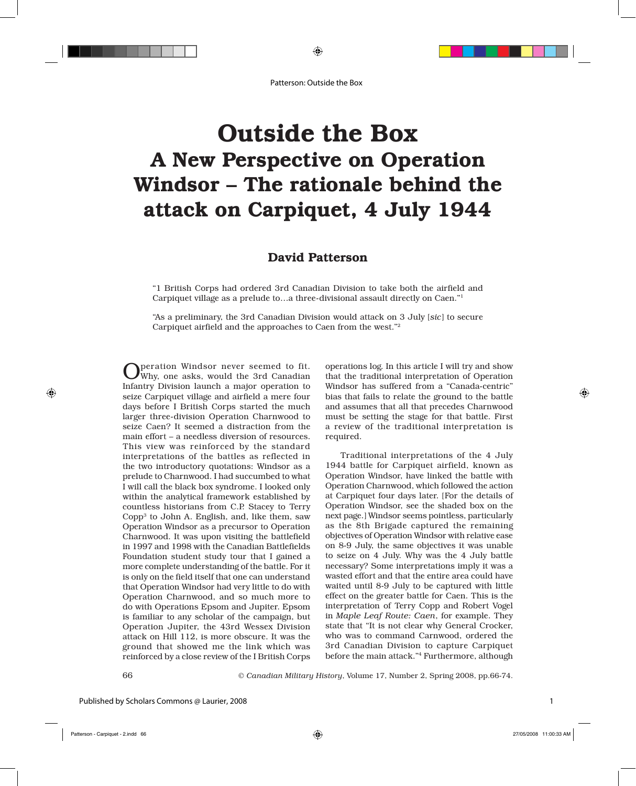# Outside the Box A New Perspective on Operation Windsor – The rationale behind the attack on Carpiquet, 4 July 1944

### David Patterson

"1 British Corps had ordered 3rd Canadian Division to take both the airfield and Carpiquet village as a prelude to…a three-divisional assault directly on Caen."1

"As a preliminary, the 3rd Canadian Division would attack on 3 July [*sic*] to secure Carpiquet airfield and the approaches to Caen from the west."2

Operation Windsor never seemed to fit. Why, one asks, would the 3rd Canadian Infantry Division launch a major operation to seize Carpiquet village and airfield a mere four days before I British Corps started the much larger three-division Operation Charnwood to seize Caen? It seemed a distraction from the main effort – a needless diversion of resources. This view was reinforced by the standard interpretations of the battles as reflected in the two introductory quotations: Windsor as a prelude to Charnwood. I had succumbed to what I will call the black box syndrome. I looked only within the analytical framework established by countless historians from C.P. Stacey to Terry  $Copp<sup>3</sup>$  to John A. English, and, like them, saw Operation Windsor as a precursor to Operation Charnwood. It was upon visiting the battlefield in 1997 and 1998 with the Canadian Battlefields Foundation student study tour that I gained a more complete understanding of the battle. For it is only on the field itself that one can understand that Operation Windsor had very little to do with Operation Charnwood, and so much more to do with Operations Epsom and Jupiter. Epsom is familiar to any scholar of the campaign, but Operation Jupiter, the 43rd Wessex Division attack on Hill 112, is more obscure. It was the ground that showed me the link which was reinforced by a close review of the I British Corps

operations log. In this article I will try and show that the traditional interpretation of Operation Windsor has suffered from a "Canada-centric" bias that fails to relate the ground to the battle and assumes that all that precedes Charnwood must be setting the stage for that battle. First a review of the traditional interpretation is required.

 Traditional interpretations of the 4 July 1944 battle for Carpiquet airfield, known as Operation Windsor, have linked the battle with Operation Charnwood, which followed the action at Carpiquet four days later. [For the details of Operation Windsor, see the shaded box on the next page.] Windsor seems pointless, particularly as the 8th Brigade captured the remaining objectives of Operation Windsor with relative ease on 8-9 July, the same objectives it was unable to seize on 4 July. Why was the 4 July battle necessary? Some interpretations imply it was a wasted effort and that the entire area could have waited until 8-9 July to be captured with little effect on the greater battle for Caen. This is the interpretation of Terry Copp and Robert Vogel in *Maple Leaf Route: Caen*, for example. They state that "It is not clear why General Crocker, who was to command Carnwood, ordered the 3rd Canadian Division to capture Carpiquet before the main attack."4 Furthermore, although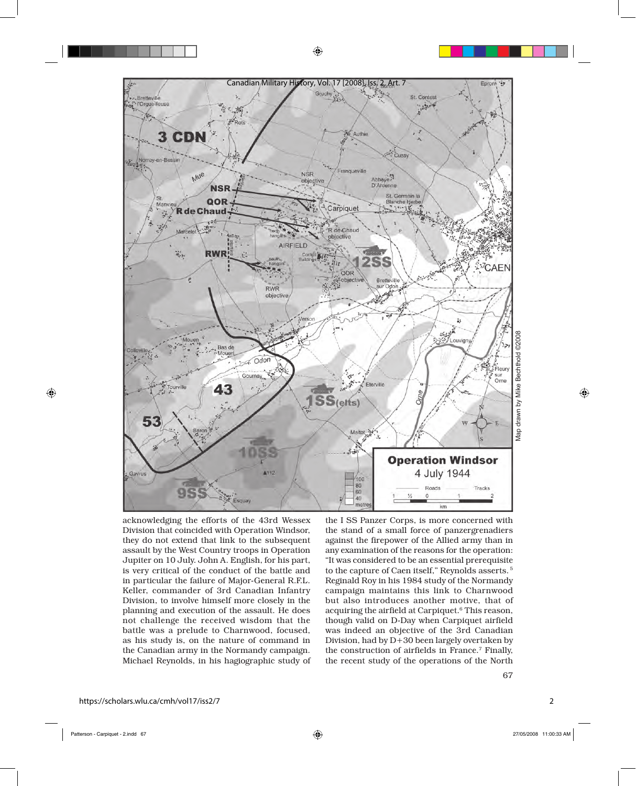

acknowledging the efforts of the 43rd Wessex Division that coincided with Operation Windsor, they do not extend that link to the subsequent assault by the West Country troops in Operation Jupiter on 10 July. John A. English, for his part, is very critical of the conduct of the battle and in particular the failure of Major-General R.F.L. Keller, commander of 3rd Canadian Infantry Division, to involve himself more closely in the planning and execution of the assault. He does not challenge the received wisdom that the battle was a prelude to Charnwood, focused, as his study is, on the nature of command in the Canadian army in the Normandy campaign. Michael Reynolds, in his hagiographic study of the I SS Panzer Corps, is more concerned with the stand of a small force of panzergrenadiers against the firepower of the Allied army than in any examination of the reasons for the operation: "It was considered to be an essential prerequisite to the capture of Caen itself," Reynolds asserts. 5 Reginald Roy in his 1984 study of the Normandy campaign maintains this link to Charnwood but also introduces another motive, that of acquiring the airfield at Carpiquet.<sup>6</sup> This reason, though valid on D-Day when Carpiquet airfield was indeed an objective of the 3rd Canadian Division, had by D+30 been largely overtaken by the construction of airfields in France.7 Finally, the recent study of the operations of the North

2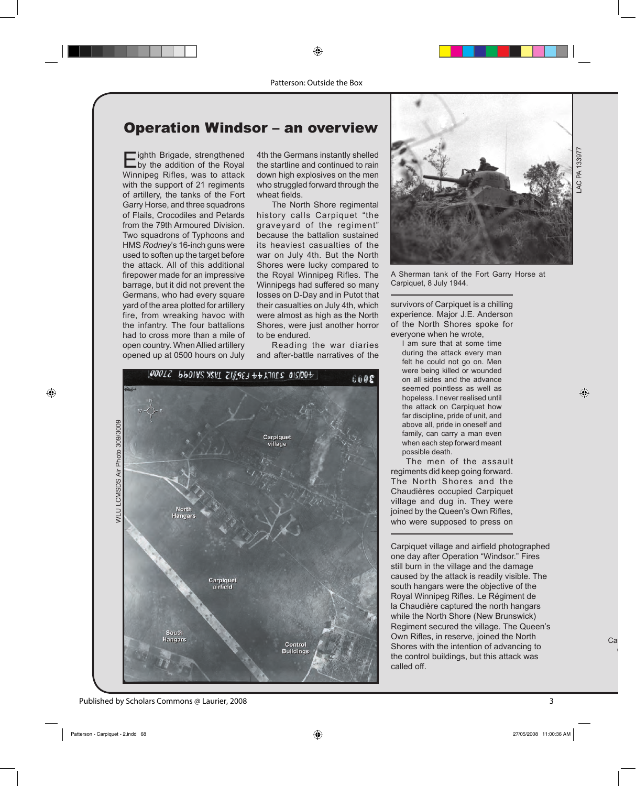## Operation Windsor – an overview

**E**ighth Brigade, strengthened<br>by the addition of the Royal Winnipeg Rifles, was to attack with the support of 21 regiments of artillery, the tanks of the Fort Garry Horse, and three squadrons of Flails, Crocodiles and Petards from the 79th Armoured Division. Two squadrons of Typhoons and HMS *Rodney*'s 16-inch guns were used to soften up the target before the attack. All of this additional firepower made for an impressive barrage, but it did not prevent the Germans, who had every square yard of the area plotted for artillery fire, from wreaking havoc with the infantry. The four battalions had to cross more than a mile of open country. When Allied artillery opened up at 0500 hours on July

4th the Germans instantly shelled the startline and continued to rain down high explosives on the men who struggled forward through the wheat fields.

 The North Shore regimental history calls Carpiquet "the graveyard of the regiment" because the battalion sustained its heaviest casualties of the war on July 4th. But the North Shores were lucky compared to the Royal Winnipeg Rifles. The Winnipegs had suffered so many losses on D-Day and in Putot that their casualties on July 4th, which were almost as high as the North Shores, were just another horror to be endured.

 Reading the war diaries and after-battle narratives of the





A Sherman tank of the Fort Garry Horse at Carpiquet, 8 July 1944.

survivors of Carpiquet is a chilling experience. Major J.E. Anderson of the North Shores spoke for everyone when he wrote,

I am sure that at some time during the attack every man felt he could not go on. Men were being killed or wounded on all sides and the advance seemed pointless as well as hopeless. I never realised until the attack on Carpiquet how far discipline, pride of unit, and above all, pride in oneself and family, can carry a man even when each step forward meant possible death.

 The men of the assault regiments did keep going forward. The North Shores and the Chaudières occupied Carpiquet village and dug in. They were joined by the Queen's Own Rifles, who were supposed to press on

Carpiquet village and airfield photographed one day after Operation "Windsor." Fires still burn in the village and the damage caused by the attack is readily visible. The south hangars were the objective of the Royal Winnipeg Rifles. Le Régiment de la Chaudière captured the north hangars while the North Shore (New Brunswick) Regiment secured the village. The Queen's Own Rifles, in reserve, joined the North Shores with the intention of advancing to the control buildings, but this attack was called off.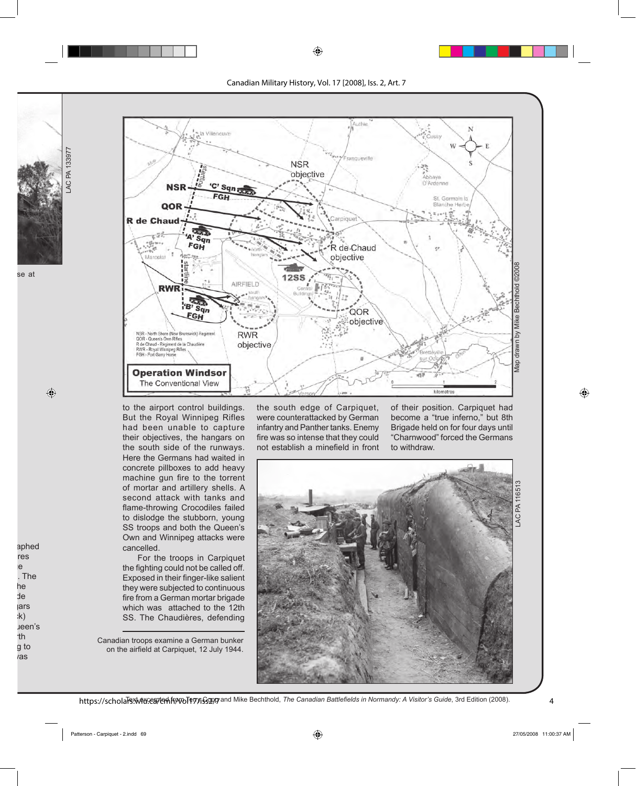

to the airport control buildings. But the Royal Winnipeg Rifles had been unable to capture their objectives, the hangars on the south side of the runways. Here the Germans had waited in concrete pillboxes to add heavy machine gun fire to the torrent of mortar and artillery shells. A second attack with tanks and flame-throwing Crocodiles failed to dislodge the stubborn, young SS troops and both the Queen's Own and Winnipeg attacks were cancelled.

LAC PA 133977

**LAC PA 133977** 

 For the troops in Carpiquet the fighting could not be called off. Exposed in their finger-like salient they were subjected to continuous fire from a German mortar brigade which was attached to the 12th SS. The Chaudières, defending

Canadian troops examine a German bunker on the airfield at Carpiquet, 12 July 1944.

the south edge of Carpiquet, were counterattacked by German infantry and Panther tanks. Enemy fire was so intense that they could not establish a minefield in front of their position. Carpiquet had become a "true inferno," but 8th Brigade held on for four days until "Charnwood" forced the Germans to withdraw.

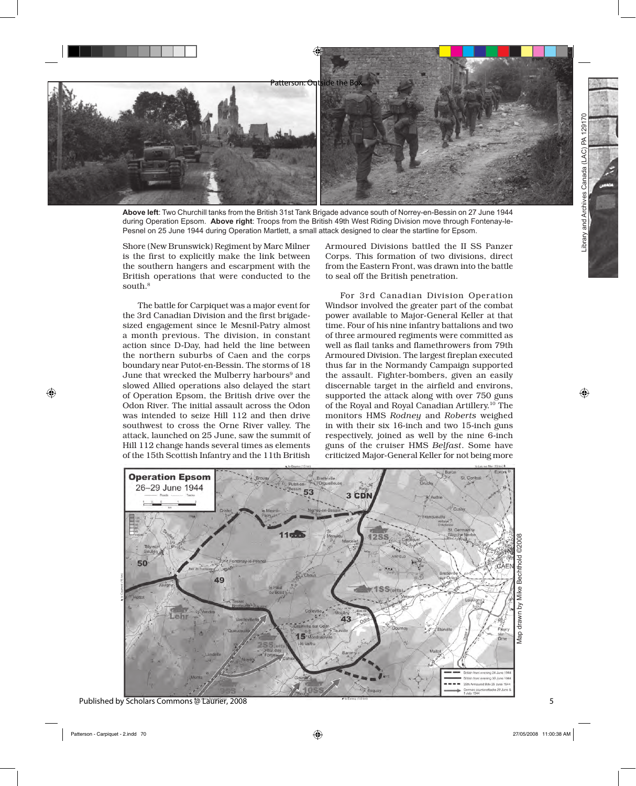

**Above left**: Two Churchill tanks from the British 31st Tank Brigade advance south of Norrey-en-Bessin on 27 June 1944 during Operation Epsom. **Above right**: Troops from the British 49th West Riding Division move through Fontenay-le-Pesnel on 25 June 1944 during Operation Martlett, a small attack designed to clear the startline for Epsom.

Shore (New Brunswick) Regiment by Marc Milner is the first to explicitly make the link between the southern hangers and escarpment with the British operations that were conducted to the south.<sup>8</sup>

 The battle for Carpiquet was a major event for the 3rd Canadian Division and the first brigadesized engagement since le Mesnil-Patry almost a month previous. The division, in constant action since D-Day, had held the line between the northern suburbs of Caen and the corps boundary near Putot-en-Bessin. The storms of 18 June that wrecked the Mulberry harbours<sup>9</sup> and slowed Allied operations also delayed the start of Operation Epsom, the British drive over the Odon River. The initial assault across the Odon was intended to seize Hill 112 and then drive southwest to cross the Orne River valley. The attack, launched on 25 June, saw the summit of Hill 112 change hands several times as elements of the 15th Scottish Infantry and the 11th British

Armoured Divisions battled the II SS Panzer Corps. This formation of two divisions, direct from the Eastern Front, was drawn into the battle to seal off the British penetration.

 For 3rd Canadian Division Operation Windsor involved the greater part of the combat power available to Major-General Keller at that time. Four of his nine infantry battalions and two of three armoured regiments were committed as well as flail tanks and flamethrowers from 79th Armoured Division. The largest fireplan executed thus far in the Normandy Campaign supported the assault. Fighter-bombers, given an easily discernable target in the airfield and environs, supported the attack along with over 750 guns of the Royal and Royal Canadian Artillery.10 The monitors HMS *Rodney* and *Roberts* weighed in with their six 16-inch and two 15-inch guns respectively, joined as well by the nine 6-inch guns of the cruiser HMS *Belfast*. Some have criticized Major-General Keller for not being more

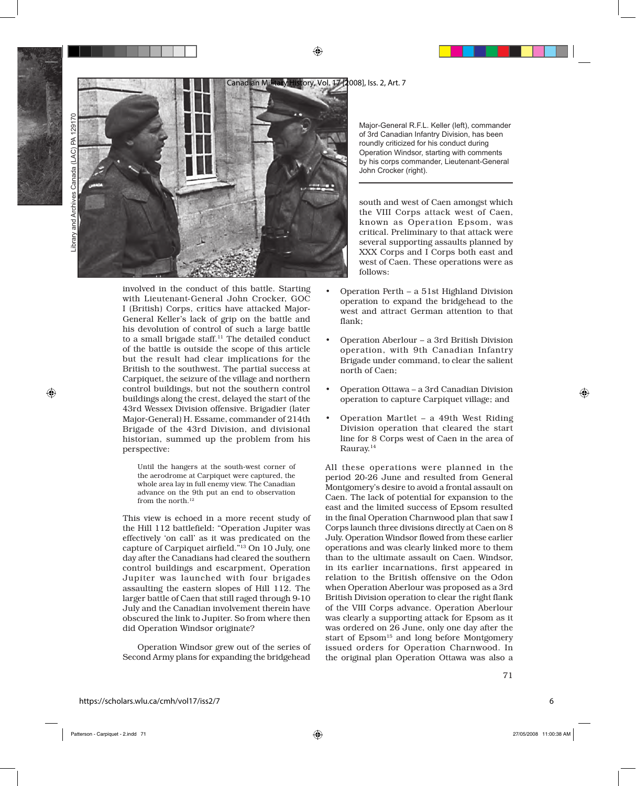

involved in the conduct of this battle. Starting with Lieutenant-General John Crocker, GOC I (British) Corps, critics have attacked Major-General Keller's lack of grip on the battle and his devolution of control of such a large battle to a small brigade staff.<sup>11</sup> The detailed conduct of the battle is outside the scope of this article but the result had clear implications for the British to the southwest. The partial success at Carpiquet, the seizure of the village and northern control buildings, but not the southern control buildings along the crest, delayed the start of the 43rd Wessex Division offensive. Brigadier (later Major-General) H. Essame, commander of 214th Brigade of the 43rd Division, and divisional historian, summed up the problem from his perspective:

Until the hangers at the south-west corner of the aerodrome at Carpiquet were captured, the whole area lay in full enemy view. The Canadian advance on the 9th put an end to observation from the north.<sup>12</sup>

This view is echoed in a more recent study of the Hill 112 battlefield: "Operation Jupiter was effectively 'on call' as it was predicated on the capture of Carpiquet airfield."13 On 10 July, one day after the Canadians had cleared the southern control buildings and escarpment, Operation Jupiter was launched with four brigades assaulting the eastern slopes of Hill 112. The larger battle of Caen that still raged through 9-10 July and the Canadian involvement therein have obscured the link to Jupiter. So from where then did Operation Windsor originate?

 Operation Windsor grew out of the series of Second Army plans for expanding the bridgehead

Major-General R.F.L. Keller (left), commander of 3rd Canadian Infantry Division, has been roundly criticized for his conduct during Operation Windsor, starting with comments by his corps commander, Lieutenant-General John Crocker (right).

south and west of Caen amongst which the VIII Corps attack west of Caen, known as Operation Epsom, was critical. Preliminary to that attack were several supporting assaults planned by XXX Corps and I Corps both east and west of Caen. These operations were as follows:

- Operation Perth a 51st Highland Division operation to expand the bridgehead to the west and attract German attention to that flank; •
- Operation Aberlour a 3rd British Division operation, with 9th Canadian Infantry Brigade under command, to clear the salient north of Caen; •
- Operation Ottawa a 3rd Canadian Division operation to capture Carpiquet village; and •
- Operation Martlet a 49th West Riding Division operation that cleared the start line for 8 Corps west of Caen in the area of Rauray.14 •

All these operations were planned in the period 20-26 June and resulted from General Montgomery's desire to avoid a frontal assault on Caen. The lack of potential for expansion to the east and the limited success of Epsom resulted in the final Operation Charnwood plan that saw I Corps launch three divisions directly at Caen on 8 July. Operation Windsor flowed from these earlier operations and was clearly linked more to them than to the ultimate assault on Caen. Windsor, in its earlier incarnations, first appeared in relation to the British offensive on the Odon when Operation Aberlour was proposed as a 3rd British Division operation to clear the right flank of the VIII Corps advance. Operation Aberlour was clearly a supporting attack for Epsom as it was ordered on 26 June, only one day after the start of Epsom<sup>15</sup> and long before Montgomery issued orders for Operation Charnwood. In the original plan Operation Ottawa was also a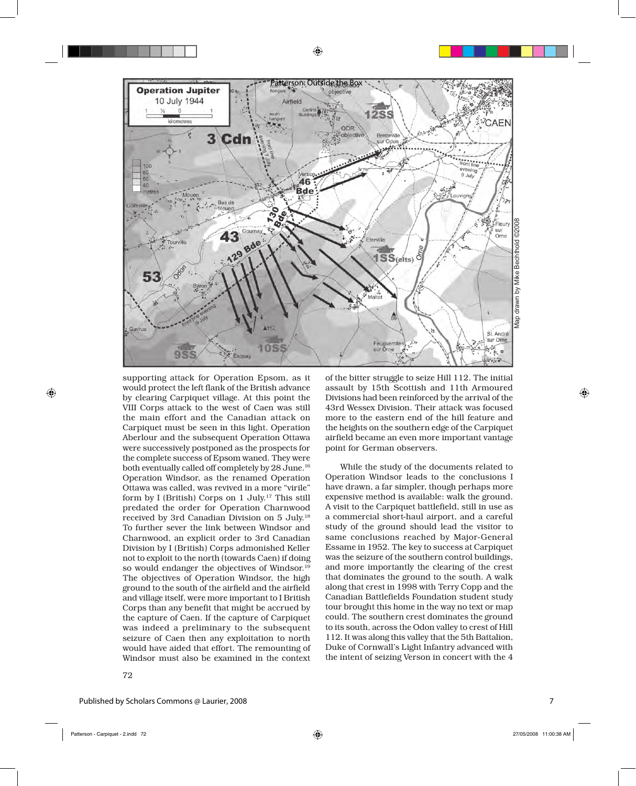

supporting attack for Operation Epsom, as it would protect the left flank of the British advance by clearing Carpiquet village. At this point the VIII Corps attack to the west of Caen was still the main effort and the Canadian attack on Carpiquet must be seen in this light. Operation Aberlour and the subsequent Operation Ottawa were successively postponed as the prospects for the complete success of Epsom waned. They were both eventually called off completely by 28 June.16 Operation Windsor, as the renamed Operation Ottawa was called, was revived in a more "virile" form by I (British) Corps on 1 July.17 This still predated the order for Operation Charnwood received by 3rd Canadian Division on 5 July.18 To further sever the link between Windsor and Charnwood, an explicit order to 3rd Canadian Division by I (British) Corps admonished Keller not to exploit to the north (towards Caen) if doing so would endanger the objectives of Windsor.19 The objectives of Operation Windsor, the high ground to the south of the airfield and the airfield and village itself, were more important to I British Corps than any benefit that might be accrued by the capture of Caen. If the capture of Carpiquet was indeed a preliminary to the subsequent seizure of Caen then any exploitation to north would have aided that effort. The remounting of Windsor must also be examined in the context

of the bitter struggle to seize Hill 112. The initial assault by 15th Scottish and 11th Armoured Divisions had been reinforced by the arrival of the 43rd Wessex Division. Their attack was focused more to the eastern end of the hill feature and the heights on the southern edge of the Carpiquet airfield became an even more important vantage point for German observers.

 While the study of the documents related to Operation Windsor leads to the conclusions I have drawn, a far simpler, though perhaps more expensive method is available: walk the ground. A visit to the Carpiquet battlefield, still in use as a commercial short-haul airport, and a careful study of the ground should lead the visitor to same conclusions reached by Major-General Essame in 1952. The key to success at Carpiquet was the seizure of the southern control buildings, and more importantly the clearing of the crest that dominates the ground to the south. A walk along that crest in 1998 with Terry Copp and the Canadian Battlefields Foundation student study tour brought this home in the way no text or map could. The southern crest dominates the ground to its south, across the Odon valley to crest of Hill 112. It was along this valley that the 5th Battalion, Duke of Cornwall's Light Infantry advanced with the intent of seizing Verson in concert with the 4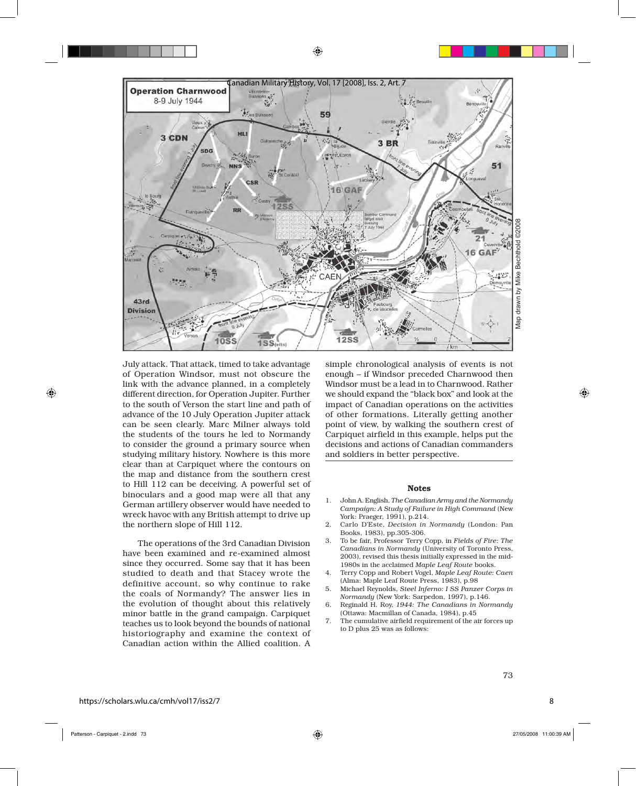

July attack. That attack, timed to take advantage of Operation Windsor, must not obscure the link with the advance planned, in a completely different direction, for Operation Jupiter. Further to the south of Verson the start line and path of advance of the 10 July Operation Jupiter attack can be seen clearly. Marc Milner always told the students of the tours he led to Normandy to consider the ground a primary source when studying military history. Nowhere is this more clear than at Carpiquet where the contours on the map and distance from the southern crest to Hill 112 can be deceiving. A powerful set of binoculars and a good map were all that any German artillery observer would have needed to wreck havoc with any British attempt to drive up the northern slope of Hill 112.

 The operations of the 3rd Canadian Division have been examined and re-examined almost since they occurred. Some say that it has been studied to death and that Stacey wrote the definitive account, so why continue to rake the coals of Normandy? The answer lies in the evolution of thought about this relatively minor battle in the grand campaign. Carpiquet teaches us to look beyond the bounds of national historiography and examine the context of Canadian action within the Allied coalition. A

simple chronological analysis of events is not enough – if Windsor preceded Charnwood then Windsor must be a lead in to Charnwood. Rather we should expand the "black box" and look at the impact of Canadian operations on the activities of other formations. Literally getting another point of view, by walking the southern crest of Carpiquet airfield in this example, helps put the decisions and actions of Canadian commanders and soldiers in better perspective.

#### Notes

- 1. John A. English, *The Canadian Army and the Normandy Campaign: A Study of Failure in High Command* (New York: Praeger, 1991), p.214.
- 2. Carlo D'Este, *Decision in Normandy* (London: Pan Books, 1983), pp.305-306.
- 3. To be fair, Professor Terry Copp, in *Fields of Fire: The Canadians in Normandy* (University of Toronto Press, 2003), revised this thesis initially expressed in the mid-1980s in the acclaimed *Maple Leaf Route* books.
- 4. Terry Copp and Robert Vogel, *Maple Leaf Route: Caen* (Alma: Maple Leaf Route Press, 1983), p.98
- 5. Michael Reynolds, *Steel Inferno: I SS Panzer Corps in Normandy* (New York: Sarpedon, 1997), p.146.
- 6. Reginald H. Roy, *1944: The Canadians in Normandy* (Ottawa: Macmillan of Canada, 1984), p.45
- 7. The cumulative airfield requirement of the air forces up to D plus 25 was as follows:

8

73